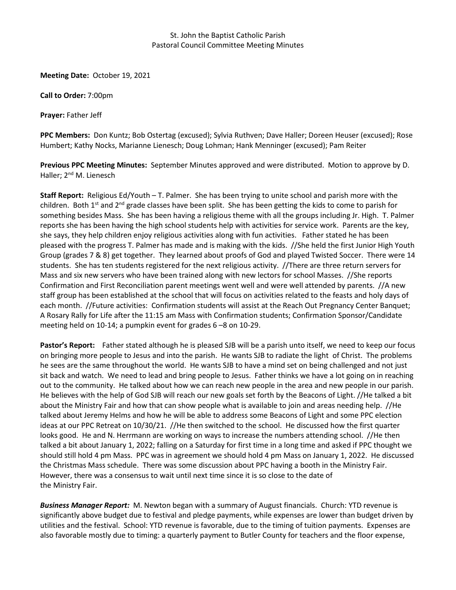## St. John the Baptist Catholic Parish Pastoral Council Committee Meeting Minutes

**Meeting Date:** October 19, 2021

**Call to Order:** 7:00pm

**Prayer:** Father Jeff

**PPC Members:** Don Kuntz; Bob Ostertag (excused); Sylvia Ruthven; Dave Haller; Doreen Heuser (excused); Rose Humbert; Kathy Nocks, Marianne Lienesch; Doug Lohman; Hank Menninger (excused); Pam Reiter

**Previous PPC Meeting Minutes:** September Minutes approved and were distributed. Motion to approve by D. Haller; 2<sup>nd</sup> M. Lienesch

**Staff Report:** Religious Ed/Youth – T. Palmer. She has been trying to unite school and parish more with the children. Both  $1<sup>st</sup>$  and  $2<sup>nd</sup>$  grade classes have been split. She has been getting the kids to come to parish for something besides Mass. She has been having a religious theme with all the groups including Jr. High. T. Palmer reports she has been having the high school students help with activities for service work. Parents are the key, she says, they help children enjoy religious activities along with fun activities. Father stated he has been pleased with the progress T. Palmer has made and is making with the kids. //She held the first Junior High Youth Group (grades 7 & 8) get together. They learned about proofs of God and played Twisted Soccer. There were 14 students. She has ten students registered for the next religious activity. //There are three return servers for Mass and six new servers who have been trained along with new lectors for school Masses. //She reports Confirmation and First Reconciliation parent meetings went well and were well attended by parents. //A new staff group has been established at the school that will focus on activities related to the feasts and holy days of each month. //Future activities: Confirmation students will assist at the Reach Out Pregnancy Center Banquet; A Rosary Rally for Life after the 11:15 am Mass with Confirmation students; Confirmation Sponsor/Candidate meeting held on 10-14; a pumpkin event for grades 6 –8 on 10-29.

**Pastor's Report:** Father stated although he is pleased SJB will be a parish unto itself, we need to keep our focus on bringing more people to Jesus and into the parish. He wants SJB to radiate the light of Christ. The problems he sees are the same throughout the world. He wants SJB to have a mind set on being challenged and not just sit back and watch. We need to lead and bring people to Jesus. Father thinks we have a lot going on in reaching out to the community. He talked about how we can reach new people in the area and new people in our parish. He believes with the help of God SJB will reach our new goals set forth by the Beacons of Light. //He talked a bit about the Ministry Fair and how that can show people what is available to join and areas needing help. //He talked about Jeremy Helms and how he will be able to address some Beacons of Light and some PPC election ideas at our PPC Retreat on 10/30/21. //He then switched to the school. He discussed how the first quarter looks good. He and N. Herrmann are working on ways to increase the numbers attending school. //He then talked a bit about January 1, 2022; falling on a Saturday for first time in a long time and asked if PPC thought we should still hold 4 pm Mass. PPC was in agreement we should hold 4 pm Mass on January 1, 2022. He discussed the Christmas Mass schedule. There was some discussion about PPC having a booth in the Ministry Fair. However, there was a consensus to wait until next time since it is so close to the date of the Ministry Fair.

*Business Manager Report:* M. Newton began with a summary of August financials. Church: YTD revenue is significantly above budget due to festival and pledge payments, while expenses are lower than budget driven by utilities and the festival. School: YTD revenue is favorable, due to the timing of tuition payments. Expenses are also favorable mostly due to timing: a quarterly payment to Butler County for teachers and the floor expense,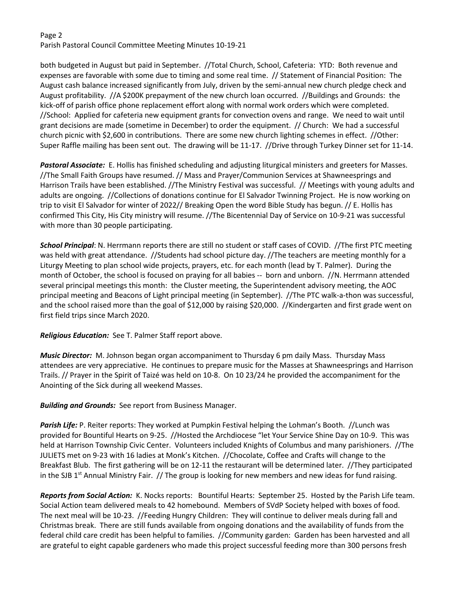## Page 2 Parish Pastoral Council Committee Meeting Minutes 10-19-21

both budgeted in August but paid in September. //Total Church, School, Cafeteria: YTD: Both revenue and expenses are favorable with some due to timing and some real time. // Statement of Financial Position: The August cash balance increased significantly from July, driven by the semi-annual new church pledge check and August profitability. //A \$200K prepayment of the new church loan occurred. //Buildings and Grounds: the kick-off of parish office phone replacement effort along with normal work orders which were completed. //School: Applied for cafeteria new equipment grants for convection ovens and range. We need to wait until grant decisions are made (sometime in December) to order the equipment. // Church: We had a successful church picnic with \$2,600 in contributions. There are some new church lighting schemes in effect. //Other: Super Raffle mailing has been sent out. The drawing will be 11-17. //Drive through Turkey Dinner set for 11-14.

*Pastoral Associate:* E. Hollis has finished scheduling and adjusting liturgical ministers and greeters for Masses. //The Small Faith Groups have resumed. // Mass and Prayer/Communion Services at Shawneesprings and Harrison Trails have been established. //The Ministry Festival was successful. // Meetings with young adults and adults are ongoing. //Collections of donations continue for El Salvador Twinning Project. He is now working on trip to visit El Salvador for winter of 2022// Breaking Open the word Bible Study has begun. // E. Hollis has confirmed This City, His City ministry will resume. //The Bicentennial Day of Service on 10-9-21 was successful with more than 30 people participating.

*School Principal*: N. Herrmann reports there are still no student or staff cases of COVID. //The first PTC meeting was held with great attendance. //Students had school picture day. //The teachers are meeting monthly for a Liturgy Meeting to plan school wide projects, prayers, etc. for each month (lead by T. Palmer). During the month of October, the school is focused on praying for all babies -- born and unborn. //N. Herrmann attended several principal meetings this month: the Cluster meeting, the Superintendent advisory meeting, the AOC principal meeting and Beacons of Light principal meeting (in September). //The PTC walk-a-thon was successful, and the school raised more than the goal of \$12,000 by raising \$20,000. //Kindergarten and first grade went on first field trips since March 2020.

*Religious Education:* See T. Palmer Staff report above.

*Music Director:* M. Johnson began organ accompaniment to Thursday 6 pm daily Mass. Thursday Mass attendees are very appreciative. He continues to prepare music for the Masses at Shawneesprings and Harrison Trails. // Prayer in the Spirit of Taizé was held on 10-8. On 10 23/24 he provided the accompaniment for the Anointing of the Sick during all weekend Masses.

*Building and Grounds:* See report from Business Manager.

Parish Life: P. Reiter reports: They worked at Pumpkin Festival helping the Lohman's Booth. //Lunch was provided for Bountiful Hearts on 9-25. //Hosted the Archdiocese "let Your Service Shine Day on 10-9. This was held at Harrison Township Civic Center. Volunteers included Knights of Columbus and many parishioners. //The JULIETS met on 9-23 with 16 ladies at Monk's Kitchen. //Chocolate, Coffee and Crafts will change to the Breakfast Blub. The first gathering will be on 12-11 the restaurant will be determined later. //They participated in the SJB 1<sup>st</sup> Annual Ministry Fair. // The group is looking for new members and new ideas for fund raising.

*Reports from Social Action:* K. Nocks reports: Bountiful Hearts: September 25. Hosted by the Parish Life team. Social Action team delivered meals to 42 homebound. Members of SVdP Society helped with boxes of food. The next meal will be 10-23. //Feeding Hungry Children: They will continue to deliver meals during fall and Christmas break. There are still funds available from ongoing donations and the availability of funds from the federal child care credit has been helpful to families. //Community garden: Garden has been harvested and all are grateful to eight capable gardeners who made this project successful feeding more than 300 persons fresh